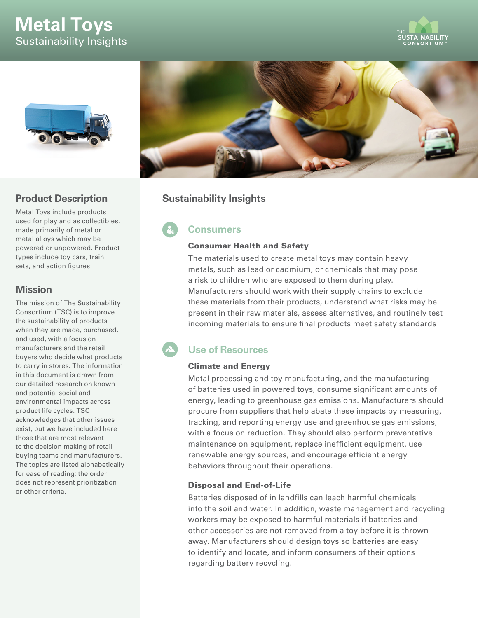# **Metal Toys** Sustainability Insights





# **Product Description**

Metal Toys include products used for play and as collectibles, made primarily of metal or metal alloys which may be powered or unpowered. Product types include toy cars, train sets, and action figures.

# **Mission**

The mission of The Sustainability Consortium (TSC) is to improve the sustainability of products when they are made, purchased, and used, with a focus on manufacturers and the retail buyers who decide what products to carry in stores. The information in this document is drawn from our detailed research on known and potential social and environmental impacts across product life cycles. TSC acknowledges that other issues exist, but we have included here those that are most relevant to the decision making of retail buying teams and manufacturers. The topics are listed alphabetically for ease of reading; the order does not represent prioritization or other criteria.



# **Sustainability Insights**

# **Consumers**

### Consumer Health and Safety

The materials used to create metal toys may contain heavy metals, such as lead or cadmium, or chemicals that may pose a risk to children who are exposed to them during play. Manufacturers should work with their supply chains to exclude these materials from their products, understand what risks may be present in their raw materials, assess alternatives, and routinely test incoming materials to ensure final products meet safety standards

# **Use of Resources**

### Climate and Energy

Metal processing and toy manufacturing, and the manufacturing of batteries used in powered toys, consume significant amounts of energy, leading to greenhouse gas emissions. Manufacturers should procure from suppliers that help abate these impacts by measuring, tracking, and reporting energy use and greenhouse gas emissions, with a focus on reduction. They should also perform preventative maintenance on equipment, replace inefficient equipment, use renewable energy sources, and encourage efficient energy behaviors throughout their operations.

### Disposal and End-of-Life

Batteries disposed of in landfills can leach harmful chemicals into the soil and water. In addition, waste management and recycling workers may be exposed to harmful materials if batteries and other accessories are not removed from a toy before it is thrown away. Manufacturers should design toys so batteries are easy to identify and locate, and inform consumers of their options regarding battery recycling.